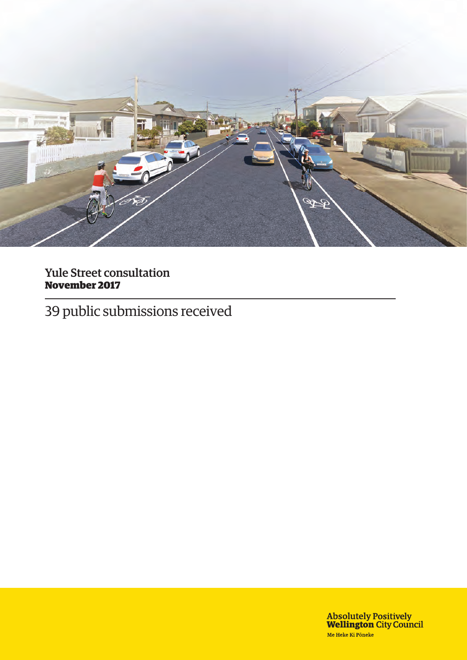

Yule Street consultation November 2017

39 public submissions received

**Absolutely Positively<br>Wellington City Council** Me Heke Ki Pöneke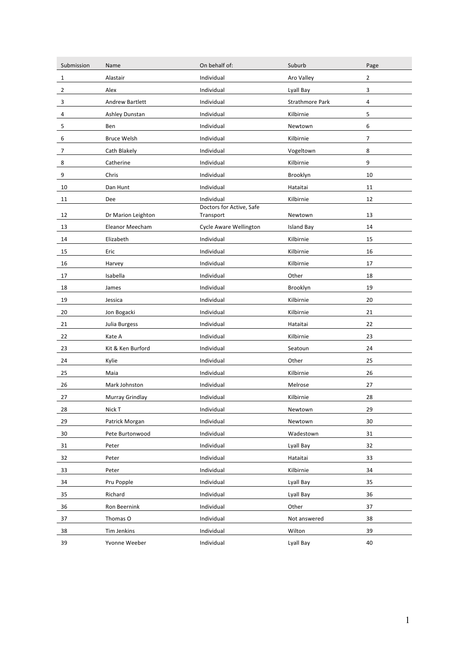| Submission     | Name                   | On behalf of:                         | Suburb            | Page |
|----------------|------------------------|---------------------------------------|-------------------|------|
| 1              | Alastair               | Individual                            | Aro Valley        | 2    |
| $\overline{2}$ | Alex                   | Individual                            | Lyall Bay         | 3    |
| 3              | <b>Andrew Bartlett</b> | Individual                            | Strathmore Park   | 4    |
| 4              | Ashley Dunstan         | Individual                            | Kilbirnie         | 5    |
| 5              | Ben                    | Individual                            | Newtown           | 6    |
| 6              | <b>Bruce Welsh</b>     | Individual                            | Kilbirnie         | 7    |
| 7              | Cath Blakely           | Individual                            | Vogeltown         | 8    |
| 8              | Catherine              | Individual                            | Kilbirnie         | 9    |
| 9              | Chris                  | Individual                            | Brooklyn          | 10   |
| 10             | Dan Hunt               | Individual                            | Hataitai          | 11   |
| 11             | Dee                    | Individual                            | Kilbirnie         | 12   |
| 12             | Dr Marion Leighton     | Doctors for Active, Safe<br>Transport | Newtown           | 13   |
| 13             | Eleanor Meecham        | Cycle Aware Wellington                | <b>Island Bay</b> | 14   |
| 14             | Elizabeth              | Individual                            | Kilbirnie         | 15   |
| 15             | Eric                   | Individual                            | Kilbirnie         | 16   |
| 16             | Harvey                 | Individual                            | Kilbirnie         | 17   |
| 17             | Isabella               | Individual                            | Other             | 18   |
| 18             | James                  | Individual                            | Brooklyn          | 19   |
| 19             | Jessica                | Individual                            | Kilbirnie         | 20   |
| 20             | Jon Bogacki            | Individual                            | Kilbirnie         | 21   |
| 21             | Julia Burgess          | Individual                            | Hataitai          | 22   |
| 22             | Kate A                 | Individual                            | Kilbirnie         | 23   |
| 23             | Kit & Ken Burford      | Individual                            | Seatoun           | 24   |
| 24             | Kylie                  | Individual                            | Other             | 25   |
| 25             | Maia                   | Individual                            | Kilbirnie         | 26   |
| 26             | Mark Johnston          | Individual                            | Melrose           | 27   |
| 27             | Murray Grindlay        | Individual                            | Kilbirnie         | 28   |
| 28             | Nick T                 | Individual                            | Newtown           | 29   |
| 29             | Patrick Morgan         | Individual                            | Newtown           | 30   |
| 30             | Pete Burtonwood        | Individual                            | Wadestown         | 31   |
| 31             | Peter                  | Individual                            | Lyall Bay         | 32   |
| 32             | Peter                  | Individual                            | Hataitai          | 33   |
| 33             | Peter                  | Individual                            | Kilbirnie         | 34   |
| 34             | Pru Popple             | Individual                            | Lyall Bay         | 35   |
| 35             | Richard                | Individual                            | Lyall Bay         | 36   |
| 36             | Ron Beernink           | Individual                            | Other             | 37   |
| 37             | Thomas O               | Individual                            | Not answered      | 38   |
| 38             | Tim Jenkins            | Individual                            | Wilton            | 39   |
| 39             | Yvonne Weeber          | Individual                            | Lyall Bay         | 40   |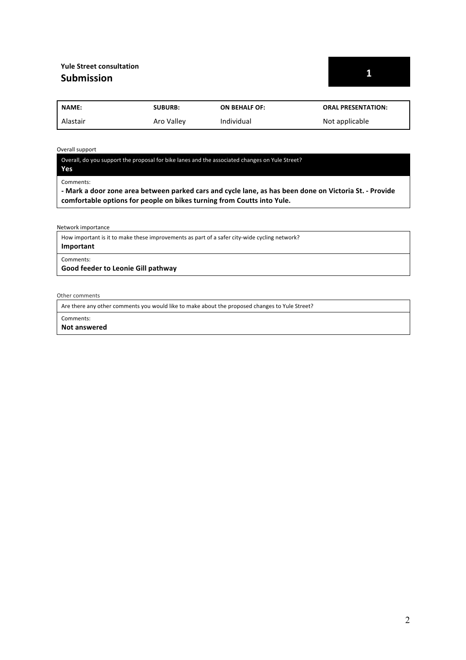## **Yule Street consultation Submission 1**<br>**Submission 1**

| <b>NAME:</b> | <b>SUBURB:</b> | ON BEHALF OF: | <b>ORAL PRESENTATION:</b> |
|--------------|----------------|---------------|---------------------------|
| Alastair     | Aro Valley     | Individual    | Not applicable            |

Overall support

Overall, do you support the proposal for bike lanes and the associated changes on Yule Street?

Comments:

**Yes**

**- Mark a door zone area between parked cars and cycle lane, as has been done on Victoria St. - Provide**  comfortable options for people on bikes turning from Coutts into Yule.

### Network importance

How important is it to make these improvements as part of a safer city-wide cycling network?

**Important**

Comments:

**Good feeder to Leonie Gill pathway** 

Other comments

Are there any other comments you would like to make about the proposed changes to Yule Street?

Comments: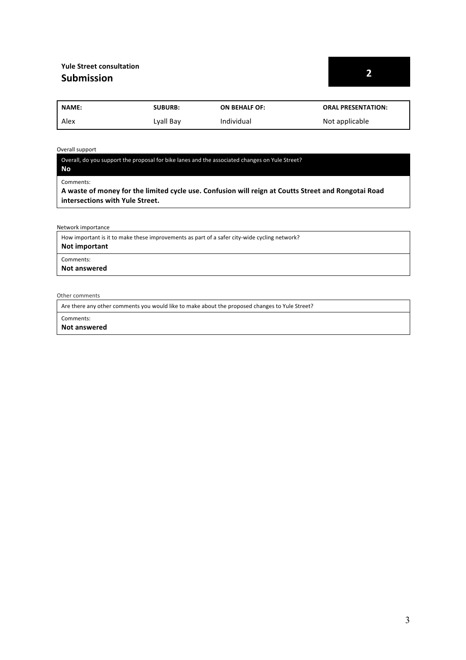# **Yule Street consultation Submission 2**<br>**Submission**

| <b>NAME:</b> | <b>SUBURB:</b> | <b>ON BEHALF OF:</b> | <b>ORAL PRESENTATION:</b> |
|--------------|----------------|----------------------|---------------------------|
| Alex         | Lyall Bay      | Individual           | Not applicable            |

Overall support

Overall, do you support the proposal for bike lanes and the associated changes on Yule Street?

Comments:

**No**

A waste of money for the limited cycle use. Confusion will reign at Coutts Street and Rongotai Road **intersections with Yule Street.**

### Network importance

How important is it to make these improvements as part of a safer city-wide cycling network?

**Not important** 

Comments:

**Not answered**

Other comments

Are there any other comments you would like to make about the proposed changes to Yule Street?

Comments: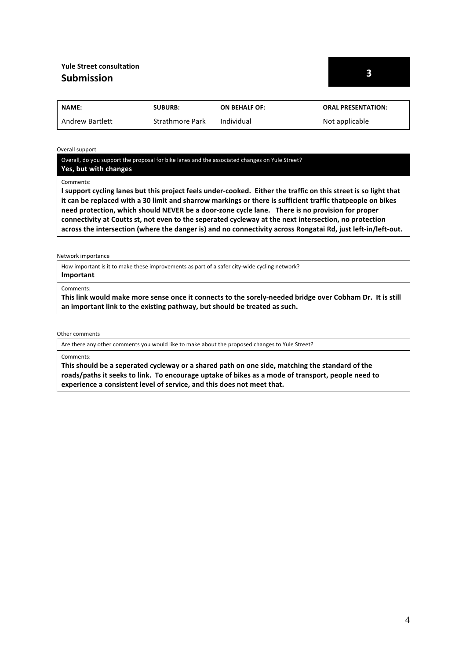| <b>NAME:</b>           | <b>SUBURB:</b>  | ON BEHALF OF: | <b>ORAL PRESENTATION:</b> |
|------------------------|-----------------|---------------|---------------------------|
| <b>Andrew Bartlett</b> | Strathmore Park | Individual    | Not applicable            |

Overall support

Overall, do you support the proposal for bike lanes and the associated changes on Yule Street? Yes, but with changes

#### Comments:

I support cycling lanes but this project feels under-cooked. Either the traffic on this street is so light that it can be replaced with a 30 limit and sharrow markings or there is sufficient traffic thatpeople on bikes need protection, which should NEVER be a door-zone cycle lane. There is no provision for proper connectivity at Coutts st, not even to the seperated cycleway at the next intersection, no protection across the intersection (where the danger is) and no connectivity across Rongatai Rd, just left-in/left-out.

Network importance

How important is it to make these improvements as part of a safer city-wide cycling network? **Important**

Comments:

This link would make more sense once it connects to the sorely-needed bridge over Cobham Dr. It is still an important link to the existing pathway, but should be treated as such.

Other comments

Are there any other comments you would like to make about the proposed changes to Yule Street?

Comments:

This should be a seperated cycleway or a shared path on one side, matching the standard of the roads/paths it seeks to link. To encourage uptake of bikes as a mode of transport, people need to experience a consistent level of service, and this does not meet that.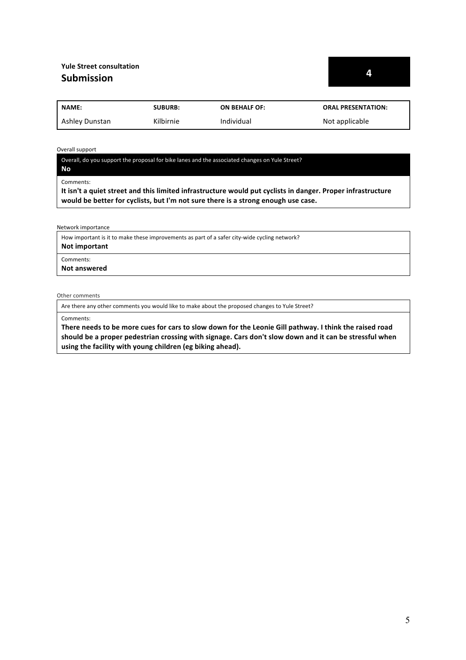| <b>NAME:</b>   | <b>SUBURB:</b> | ON BEHALF OF: | <b>ORAL PRESENTATION:</b> |
|----------------|----------------|---------------|---------------------------|
| Ashley Dunstan | Kilbirnie      | Individual    | Not applicable            |

Overall support

Overall, do you support the proposal for bike lanes and the associated changes on Yule Street?

Comments:

**No**

It isn't a quiet street and this limited infrastructure would put cyclists in danger. Proper infrastructure would be better for cyclists, but I'm not sure there is a strong enough use case.

### Network importance

How important is it to make these improvements as part of a safer city-wide cycling network?

**Not important** 

Comments:

**Not answered** 

#### Other comments

Are there any other comments you would like to make about the proposed changes to Yule Street?

Comments:

There needs to be more cues for cars to slow down for the Leonie Gill pathway. I think the raised road should be a proper pedestrian crossing with signage. Cars don't slow down and it can be stressful when using the facility with young children (eg biking ahead).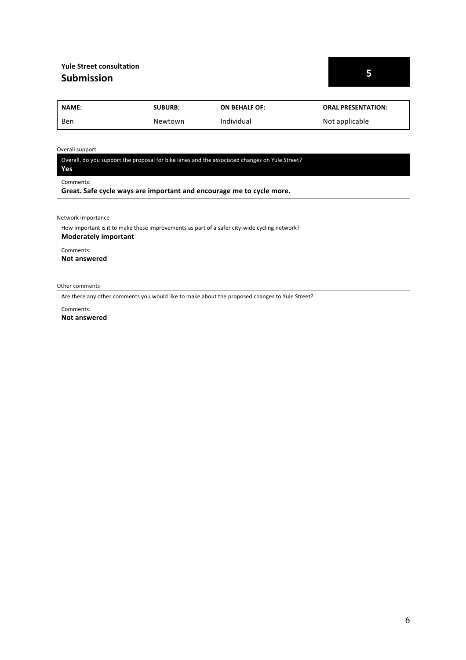| <b>NAME:</b> | <b>SUBURB:</b> | <b>ON BEHALF OF:</b> | <b>ORAL PRESENTATION:</b> |
|--------------|----------------|----------------------|---------------------------|
| Ben          | Newtown        | Individual           | Not applicable            |

Overall support

Overall, do you support the proposal for bike lanes and the associated changes on Yule Street?

**Yes**

Comments:

Great. Safe cycle ways are important and encourage me to cycle more.

Network importance

How important is it to make these improvements as part of a safer city-wide cycling network?

**Moderately important** 

Comments:

**Not answered** 

Other comments

Are there any other comments you would like to make about the proposed changes to Yule Street?

Comments: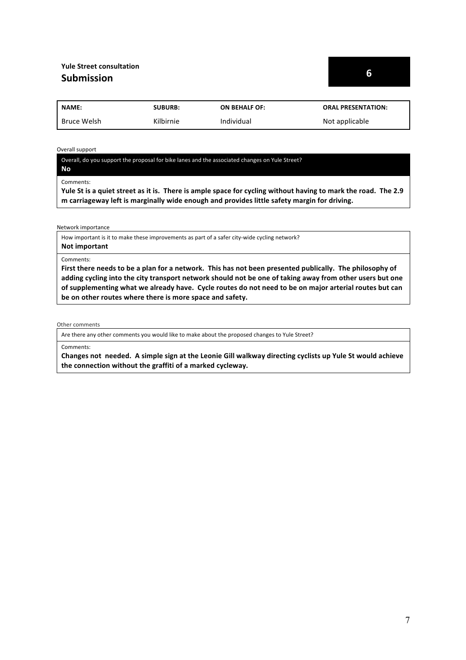| <b>NAME:</b> | <b>SUBURB:</b> | <b>ON BEHALF OF:</b> | <b>ORAL PRESENTATION:</b> |
|--------------|----------------|----------------------|---------------------------|
| Bruce Welsh  | Kilbirnie      | Individual           | Not applicable            |

Overall support

Overall, do you support the proposal for bike lanes and the associated changes on Yule Street?

Comments:

**No**

Yule St is a quiet street as it is. There is ample space for cycling without having to mark the road. The 2.9 m carriageway left is marginally wide enough and provides little safety margin for driving.

#### Network importance

How important is it to make these improvements as part of a safer city-wide cycling network? **Not important** 

Comments:

First there needs to be a plan for a network. This has not been presented publically. The philosophy of adding cycling into the city transport network should not be one of taking away from other users but one of supplementing what we already have. Cycle routes do not need to be on major arterial routes but can be on other routes where there is more space and safety.

Other comments

Are there any other comments you would like to make about the proposed changes to Yule Street?

Comments:

Changes not needed. A simple sign at the Leonie Gill walkway directing cyclists up Yule St would achieve the connection without the graffiti of a marked cycleway.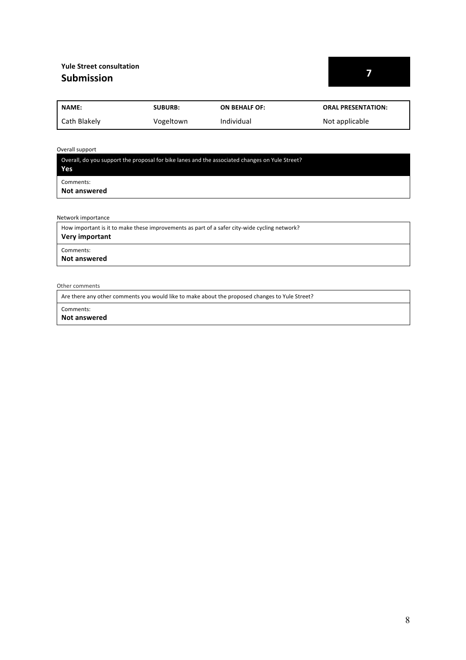# **Yule Street consultation Submission 7**<br>**Submission**

| <b>NAME:</b> | <b>SUBURB:</b> | ON BEHALF OF: | <b>ORAL PRESENTATION:</b> |
|--------------|----------------|---------------|---------------------------|
| Cath Blakely | Vogeltown      | Individual    | Not applicable            |

Overall support

Overall, do you support the proposal for bike lanes and the associated changes on Yule Street? **Yes** Comments: **Not answered** 

Network importance

How important is it to make these improvements as part of a safer city-wide cycling network?

**Very important**

Comments:

**Not answered** 

Other comments

Are there any other comments you would like to make about the proposed changes to Yule Street?

Comments: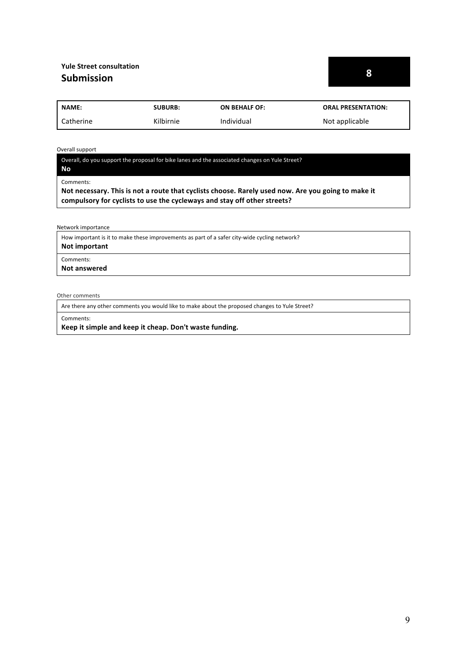## **Yule Street consultation Submission 8**<br>**Submission 8**

| <b>NAME:</b> | <b>SUBURB:</b> | ON BEHALF OF: | <b>ORAL PRESENTATION:</b> |
|--------------|----------------|---------------|---------------------------|
| Catherine    | Kilbirnie      | Individual    | Not applicable            |

Overall support

Overall, do you support the proposal for bike lanes and the associated changes on Yule Street?

Comments:

**No**

Not necessary. This is not a route that cyclists choose. Rarely used now. Are you going to make it compulsory for cyclists to use the cycleways and stay off other streets?

Network importance

How important is it to make these improvements as part of a safer city-wide cycling network?

**Not important** 

Comments:

**Not answered**

Other comments

Are there any other comments you would like to make about the proposed changes to Yule Street?

Comments:

Keep it simple and keep it cheap. Don't waste funding.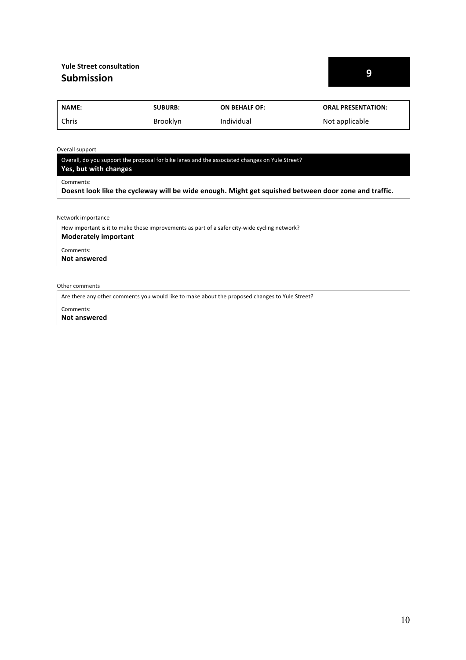# **Yule Street consultation Submission 9**<br>**Submission**

| <b>NAME:</b> | <b>SUBURB:</b>  | <b>ON BEHALF OF:</b> | <b>ORAL PRESENTATION:</b> |
|--------------|-----------------|----------------------|---------------------------|
| Chris        | <b>Brooklyn</b> | Individual           | Not applicable            |

Overall support

Overall, do you support the proposal for bike lanes and the associated changes on Yule Street? **Yes, but with changes** 

Comments:

Doesnt look like the cycleway will be wide enough. Might get squished between door zone and traffic.

Network importance

How important is it to make these improvements as part of a safer city-wide cycling network?

### **Moderately important**

Comments:

**Not answered** 

Other comments

Are there any other comments you would like to make about the proposed changes to Yule Street?

Comments: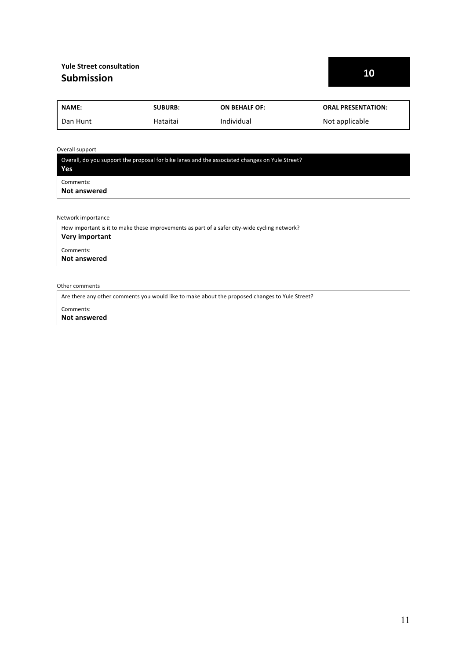| <b>NAME:</b> | <b>SUBURB:</b> | ON BEHALF OF: | <b>ORAL PRESENTATION:</b> |
|--------------|----------------|---------------|---------------------------|
| Dan Hunt     | Hataitai       | Individual    | Not applicable            |

Overall support

| Overall, do you support the proposal for bike lanes and the associated changes on Yule Street?<br>Yes |
|-------------------------------------------------------------------------------------------------------|
| Comments:<br><b>Not answered</b>                                                                      |

Network importance

How important is it to make these improvements as part of a safer city-wide cycling network?

**Very important**

Comments:

**Not answered**

#### Other comments

Are there any other comments you would like to make about the proposed changes to Yule Street?

Comments: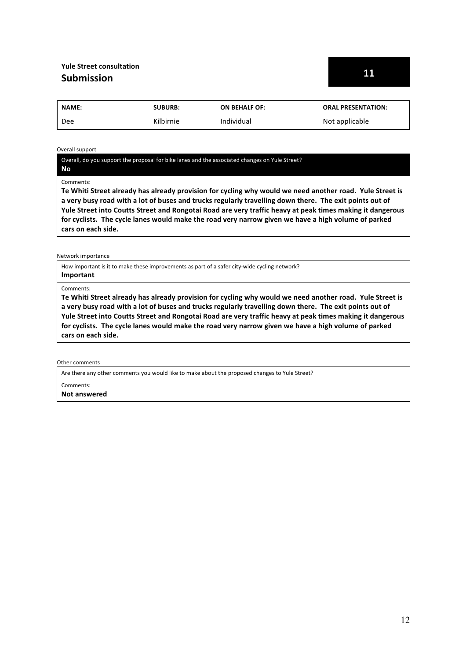| <b>NAME:</b> | <b>SUBURB:</b> | <b>ON BEHALF OF:</b> | <b>ORAL PRESENTATION:</b> |
|--------------|----------------|----------------------|---------------------------|
| Dee          | Kilbirnie      | Individual           | Not applicable            |

Overall, do you support the proposal for bike lanes and the associated changes on Yule Street? **No**

#### Comments:

Te Whiti Street already has already provision for cycling why would we need another road. Yule Street is a very busy road with a lot of buses and trucks regularly travelling down there. The exit points out of Yule Street into Coutts Street and Rongotai Road are very traffic heavy at peak times making it dangerous for cyclists. The cycle lanes would make the road very narrow given we have a high volume of parked cars on each side.

#### Network importance

How important is it to make these improvements as part of a safer city-wide cycling network? **Important**

Comments:

Te Whiti Street already has already provision for cycling why would we need another road. Yule Street is a very busy road with a lot of buses and trucks regularly travelling down there. The exit points out of **Yule Street into Coutts Street and Rongotai Road are very traffic heavy at peak times making it dangerous** for cyclists. The cycle lanes would make the road very narrow given we have a high volume of parked cars on each side.

Other comments

Are there any other comments you would like to make about the proposed changes to Yule Street?

Comments: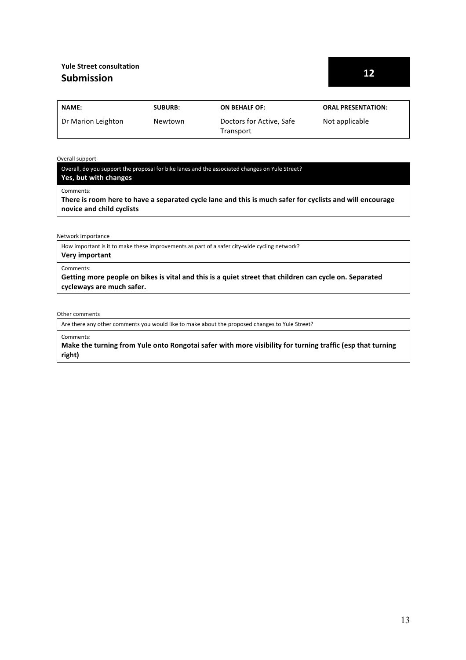| <b>NAME:</b>       | <b>SUBURB:</b> | <b>ON BEHALF OF:</b>                  | <b>ORAL PRESENTATION:</b> |
|--------------------|----------------|---------------------------------------|---------------------------|
| Dr Marion Leighton | Newtown        | Doctors for Active, Safe<br>Transport | Not applicable            |

Overall support

Overall, do you support the proposal for bike lanes and the associated changes on Yule Street? **Yes, but with changes** 

Comments:

There is room here to have a separated cycle lane and this is much safer for cyclists and will encourage **novice and child cyclists**

Network importance

How important is it to make these improvements as part of a safer city-wide cycling network? **Very important**

Comments:

Getting more people on bikes is vital and this is a quiet street that children can cycle on. Separated **cycleways are much safer.**

Other comments

Are there any other comments you would like to make about the proposed changes to Yule Street?

Comments:

Make the turning from Yule onto Rongotai safer with more visibility for turning traffic (esp that turning **right)**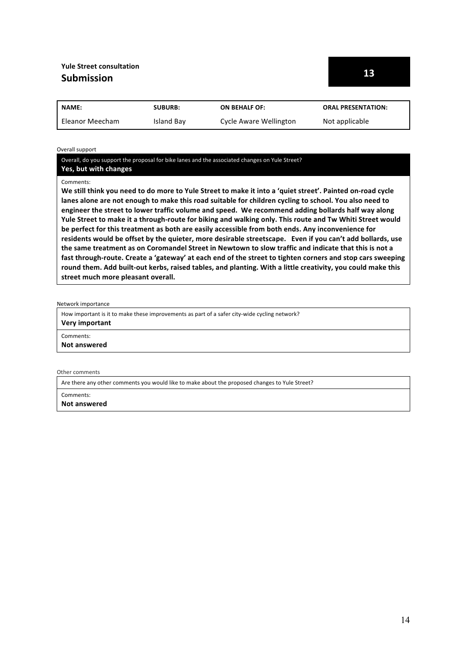| <b>NAME:</b>    | <b>SUBURB:</b> | <b>ON BEHALF OF:</b>   | <b>ORAL PRESENTATION:</b> |
|-----------------|----------------|------------------------|---------------------------|
| Eleanor Meecham | Island Bay     | Cycle Aware Wellington | Not applicable            |

#### Overall support

### Overall, do you support the proposal for bike lanes and the associated changes on Yule Street? Yes, but with changes

#### Comments:

We still think you need to do more to Yule Street to make it into a 'quiet street'. Painted on-road cycle lanes alone are not enough to make this road suitable for children cycling to school. You also need to engineer the street to lower traffic volume and speed. We recommend adding bollards half way along Yule Street to make it a through-route for biking and walking only. This route and Tw Whiti Street would be perfect for this treatment as both are easily accessible from both ends. Any inconvenience for residents would be offset by the quieter, more desirable streetscape. Even if you can't add bollards, use the same treatment as on Coromandel Street in Newtown to slow traffic and indicate that this is not a fast through-route. Create a 'gateway' at each end of the street to tighten corners and stop cars sweeping round them. Add built-out kerbs, raised tables, and planting. With a little creativity, you could make this street much more pleasant overall.

#### Network importance

How important is it to make these improvements as part of a safer city-wide cycling network?

**Very important**

Comments:

**Not answered**

Other comments

Are there any other comments you would like to make about the proposed changes to Yule Street?

Comments: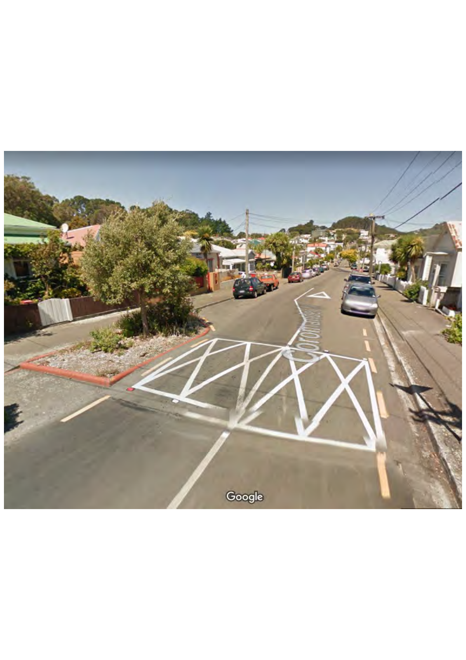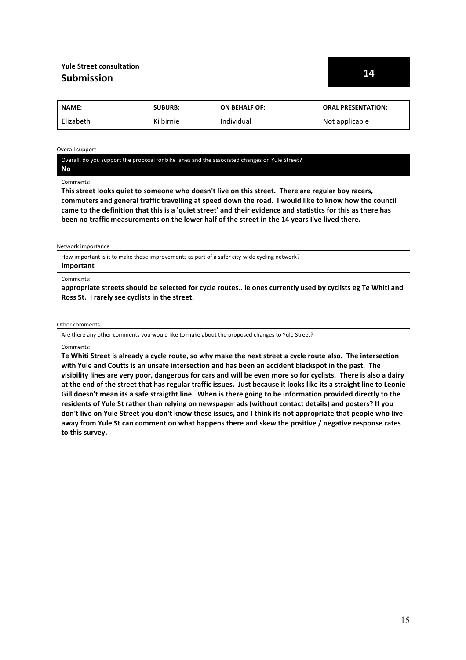| <b>NAME:</b> | <b>SUBURB:</b> | ON BEHALF OF: | <b>ORAL PRESENTATION:</b> |
|--------------|----------------|---------------|---------------------------|
| Elizabeth    | Kilbirnie      | Individual    | Not applicable            |

Overall, do you support the proposal for bike lanes and the associated changes on Yule Street? **No**

#### Comments:

This street looks quiet to someone who doesn't live on this street. There are regular boy racers, commuters and general traffic travelling at speed down the road. I would like to know how the council came to the definition that this is a 'quiet street' and their evidence and statistics for this as there has been no traffic measurements on the lower half of the street in the 14 years I've lived there.

#### Network importance

How important is it to make these improvements as part of a safer city-wide cycling network?

### **Important**

Comments:

appropriate streets should be selected for cycle routes.. ie ones currently used by cyclists eg Te Whiti and Ross St. I rarely see cyclists in the street.

#### Other comments

Are there any other comments you would like to make about the proposed changes to Yule Street?

#### Comments:

Te Whiti Street is already a cycle route, so why make the next street a cycle route also. The intersection with Yule and Coutts is an unsafe intersection and has been an accident blackspot in the past. The visibility lines are very poor, dangerous for cars and will be even more so for cyclists. There is also a dairy at the end of the street that has regular traffic issues. Just because it looks like its a straight line to Leonie Gill doesn't mean its a safe straigtht line. When is there going to be information provided directly to the residents of Yule St rather than relying on newspaper ads (without contact details) and posters? If you don't live on Yule Street you don't know these issues, and I think its not appropriate that people who live away from Yule St can comment on what happens there and skew the positive / negative response rates to this survey.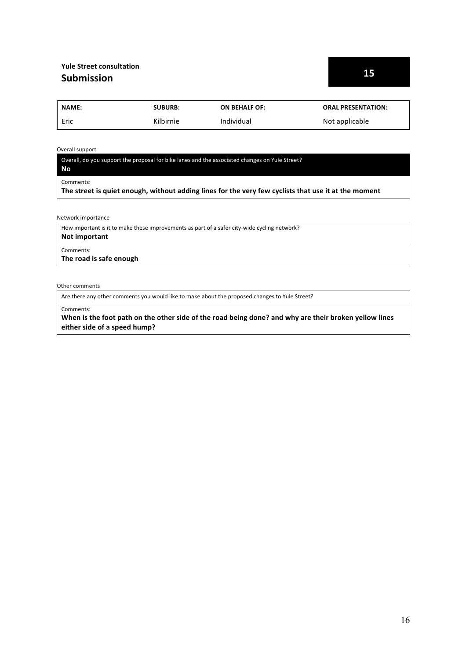| <b>NAME:</b> | <b>SUBURB:</b> | ON BEHALF OF: | <b>ORAL PRESENTATION:</b> |
|--------------|----------------|---------------|---------------------------|
| Eric         | Kilbirnie      | Individual    | Not applicable            |

Overall, do you support the proposal for bike lanes and the associated changes on Yule Street?

**No**

Comments:

The street is quiet enough, without adding lines for the very few cyclists that use it at the moment

Network importance

How important is it to make these improvements as part of a safer city-wide cycling network?

**Not important** 

Comments:

The road is safe enough

Other comments

Are there any other comments you would like to make about the proposed changes to Yule Street?

Comments:

When is the foot path on the other side of the road being done? and why are their broken yellow lines either side of a speed hump?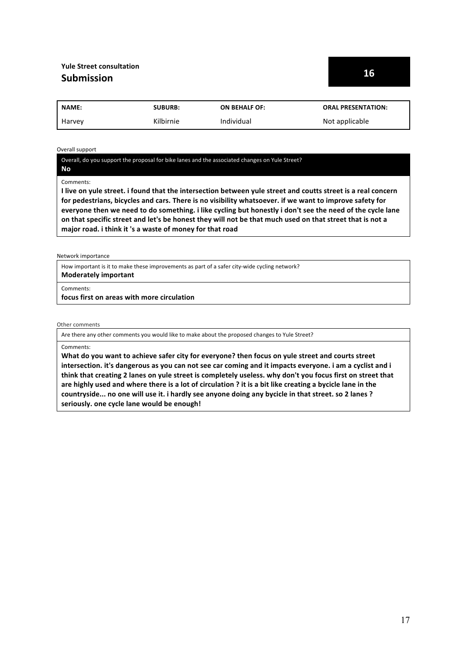| <b>NAME:</b>  | <b>SUBURB:</b> | ON BEHALF OF: | <b>ORAL PRESENTATION:</b> |
|---------------|----------------|---------------|---------------------------|
| <b>Harvey</b> | Kilbirnie      | Individual    | Not applicable            |

Overall, do you support the proposal for bike lanes and the associated changes on Yule Street? **No**

### Comments:

**I** live on yule street. i found that the intersection between yule street and coutts street is a real concern for pedestrians, bicycles and cars. There is no visibility whatsoever. if we want to improve safety for everyone then we need to do something. *i* like cycling but honestly i don't see the need of the cycle lane on that specific street and let's be honest they will not be that much used on that street that is not a major road. **i** think it 's a waste of money for that road

#### Network importance

How important is it to make these improvements as part of a safer city-wide cycling network? **Moderately important**

Comments:

**focus first on areas with more circulation** 

Other comments

Are there any other comments you would like to make about the proposed changes to Yule Street?

#### Comments:

What do you want to achieve safer city for everyone? then focus on yule street and courts street intersection. it's dangerous as you can not see car coming and it impacts everyone. I am a cyclist and **i** think that creating 2 lanes on yule street is completely useless. why don't you focus first on street that are highly used and where there is a lot of circulation ? it is a bit like creating a bycicle lane in the countryside... no one will use it. i hardly see anyone doing any bycicle in that street. so 2 lanes? seriously. one cycle lane would be enough!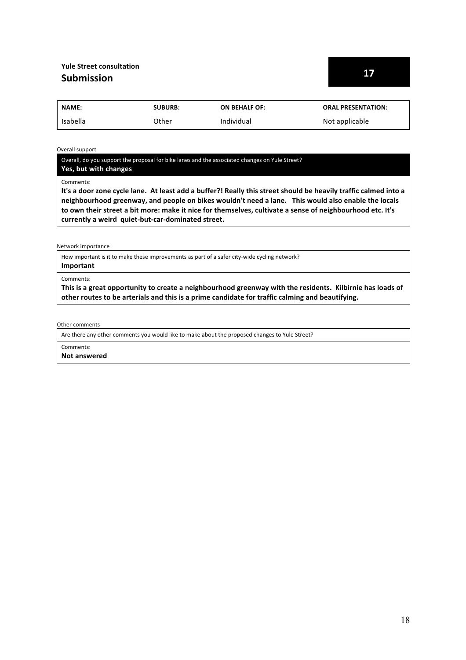| <b>NAME:</b> | <b>SUBURB:</b> | <b>ON BEHALF OF:</b> | <b>ORAL PRESENTATION:</b> |
|--------------|----------------|----------------------|---------------------------|
| Isabella     | Other          | Individual           | Not applicable            |

Overall, do you support the proposal for bike lanes and the associated changes on Yule Street? Yes, but with changes

Comments:

It's a door zone cycle lane. At least add a buffer?! Really this street should be heavily traffic calmed into a neighbourhood greenway, and people on bikes wouldn't need a lane. This would also enable the locals to own their street a bit more: make it nice for themselves, cultivate a sense of neighbourhood etc. It's currently a weird quiet-but-car-dominated street.

Network importance

How important is it to make these improvements as part of a safer city-wide cycling network?

**Important**

Comments:

This is a great opportunity to create a neighbourhood greenway with the residents. Kilbirnie has loads of other routes to be arterials and this is a prime candidate for traffic calming and beautifying.

Other comments

Are there any other comments you would like to make about the proposed changes to Yule Street?

Comments: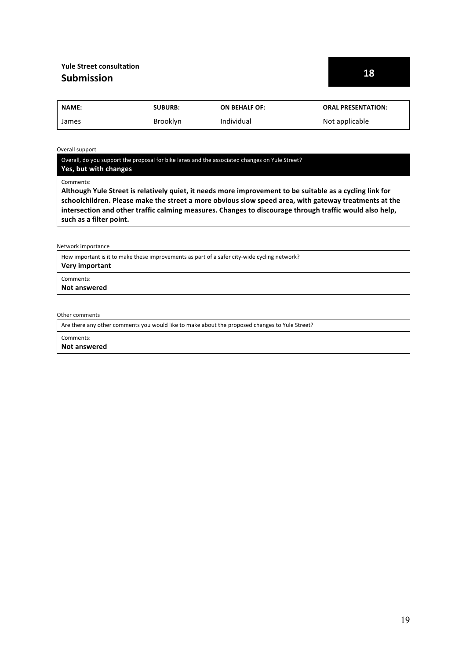| <b>NAME:</b> | <b>SUBURB:</b>  | <b>ON BEHALF OF:</b> | <b>ORAL PRESENTATION:</b> |
|--------------|-----------------|----------------------|---------------------------|
| James        | <b>Brooklyn</b> | Individual           | Not applicable            |

Overall support

### Overall, do you support the proposal for bike lanes and the associated changes on Yule Street? Yes, but with changes

Comments:

Although Yule Street is relatively quiet, it needs more improvement to be suitable as a cycling link for schoolchildren. Please make the street a more obvious slow speed area, with gateway treatments at the intersection and other traffic calming measures. Changes to discourage through traffic would also help, **such as a filter point.**

Network importance

How important is it to make these improvements as part of a safer city-wide cycling network?

**Very important**

Comments:

**Not answered**

Other comments

Are there any other comments you would like to make about the proposed changes to Yule Street?

Comments: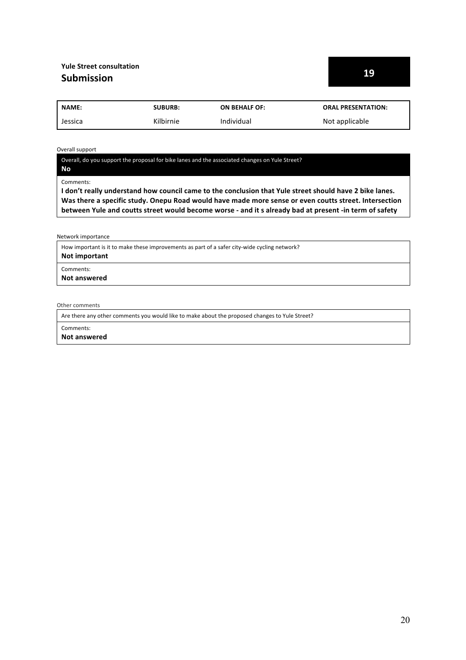| <b>NAME:</b> | <b>SUBURB:</b> | ON BEHALF OF: | <b>ORAL PRESENTATION:</b> |
|--------------|----------------|---------------|---------------------------|
| Jessica      | Kilbirnie      | Individual    | Not applicable            |

Overall support

Overall, do you support the proposal for bike lanes and the associated changes on Yule Street?

Comments:

**No**

I don't really understand how council came to the conclusion that Yule street should have 2 bike lanes. Was there a specific study. Onepu Road would have made more sense or even coutts street. Intersection **between Yule and coutts street would become worse - and it s already bad at present -in term of safety** 

Network importance

How important is it to make these improvements as part of a safer city-wide cycling network?

**Not important** 

Comments: **Not answered** 

Other comments

Are there any other comments you would like to make about the proposed changes to Yule Street?

Comments: **Not answered**

20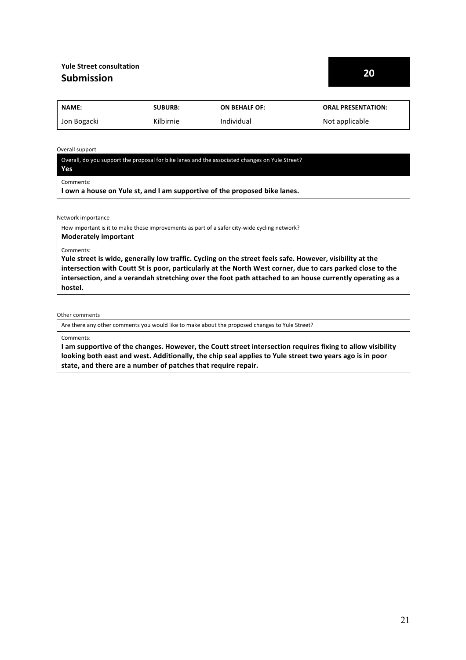| <b>NAME:</b>       | <b>SUBURB:</b> | <b>ON BEHALF OF:</b> | <b>ORAL PRESENTATION:</b> |
|--------------------|----------------|----------------------|---------------------------|
| <b>Jon Bogacki</b> | Kilbirnie      | Individual           | Not applicable            |

Overall support

Overall, do you support the proposal for bike lanes and the associated changes on Yule Street?

**Yes**

Comments:

I own a house on Yule st, and I am supportive of the proposed bike lanes.

Network importance

How important is it to make these improvements as part of a safer city-wide cycling network?

**Moderately important** 

Comments:

Yule street is wide, generally low traffic. Cycling on the street feels safe. However, visibility at the intersection with Coutt St is poor, particularly at the North West corner, due to cars parked close to the intersection, and a verandah stretching over the foot path attached to an house currently operating as a **hostel.**

#### Other comments

Are there any other comments you would like to make about the proposed changes to Yule Street?

Comments:

**I** am supportive of the changes. However, the Coutt street intersection requires fixing to allow visibility looking both east and west. Additionally, the chip seal applies to Yule street two years ago is in poor state, and there are a number of patches that require repair.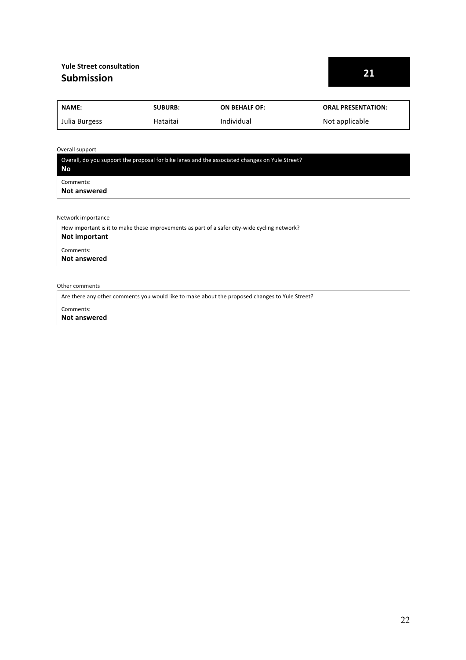| <b>NAME:</b>  | <b>SUBURB:</b> | <b>ON BEHALF OF:</b> | <b>ORAL PRESENTATION:</b> |
|---------------|----------------|----------------------|---------------------------|
| Julia Burgess | Hataitai       | Individual           | Not applicable            |

Overall support

| Overall, do you support the proposal for bike lanes and the associated changes on Yule Street?<br><b>No</b> |
|-------------------------------------------------------------------------------------------------------------|
| Comments:<br><b>Not answered</b>                                                                            |

Network importance

How important is it to make these improvements as part of a safer city-wide cycling network?

**Not important** 

Comments:

**Not answered** 

#### Other comments

Are there any other comments you would like to make about the proposed changes to Yule Street?

Comments: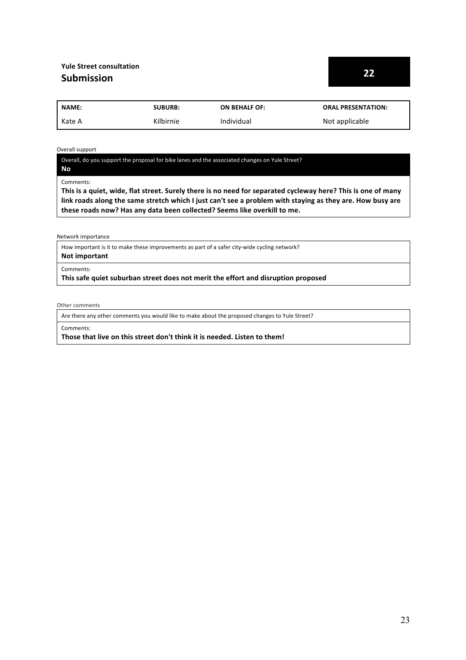| <b>NAME:</b> | <b>SUBURB:</b> | <b>ON BEHALF OF:</b> | <b>ORAL PRESENTATION:</b> |
|--------------|----------------|----------------------|---------------------------|
| Kate A       | Kilbirnie      | Individual           | Not applicable            |

Overall, do you support the proposal for bike lanes and the associated changes on Yule Street? **No**

Comments:

This is a quiet, wide, flat street. Surely there is no need for separated cycleway here? This is one of many link roads along the same stretch which I just can't see a problem with staying as they are. How busy are these roads now? Has any data been collected? Seems like overkill to me.

Network importance

How important is it to make these improvements as part of a safer city-wide cycling network?

**Not important** 

Comments:

This safe quiet suburban street does not merit the effort and disruption proposed

Other comments

Are there any other comments you would like to make about the proposed changes to Yule Street?

Comments:

Those that live on this street don't think it is needed. Listen to them!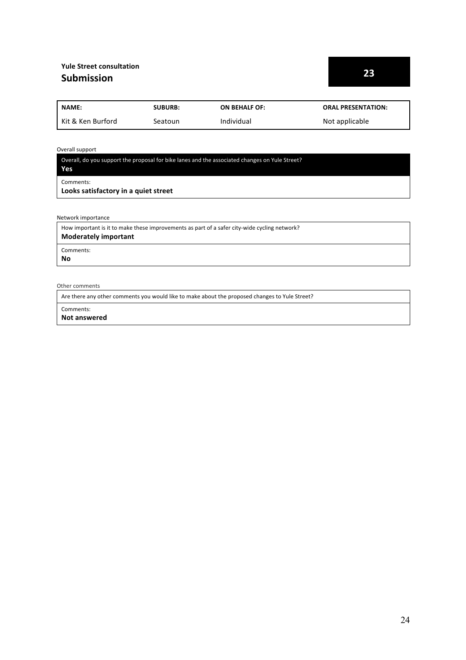# **Yule Street consultation Submission 23**<br>**Submission 23**

| <b>NAME:</b>      | <b>SUBURB:</b> | <b>ON BEHALF OF:</b> | <b>ORAL PRESENTATION:</b> |
|-------------------|----------------|----------------------|---------------------------|
| Kit & Ken Burford | Seatoun        | Individual           | Not applicable            |

Overall support

Overall, do you support the proposal for bike lanes and the associated changes on Yule Street? **Yes** Comments: Looks satisfactory in a quiet street

Network importance

How important is it to make these improvements as part of a safer city-wide cycling network?

### **Moderately important**

Comments:

**No**

#### Other comments

Are there any other comments you would like to make about the proposed changes to Yule Street?

Comments: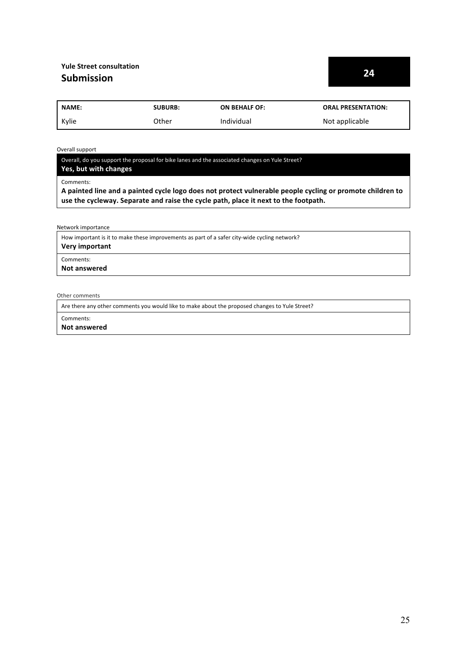| <b>NAME:</b> | <b>SUBURB:</b> | ON BEHALF OF: | <b>ORAL PRESENTATION:</b> |
|--------------|----------------|---------------|---------------------------|
| Kylie        | Other          | Individual    | Not applicable            |

Overall support

Overall, do you support the proposal for bike lanes and the associated changes on Yule Street? **Yes, but with changes** 

Comments:

A painted line and a painted cycle logo does not protect vulnerable people cycling or promote children to use the cycleway. Separate and raise the cycle path, place it next to the footpath.

Network importance

How important is it to make these improvements as part of a safer city-wide cycling network?

**Very important**

Comments:

**Not answered**

Other comments

Are there any other comments you would like to make about the proposed changes to Yule Street?

Comments: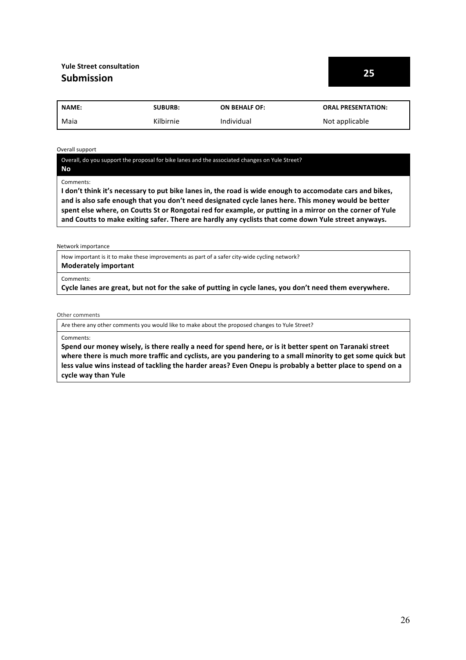| <b>NAME:</b> | <b>SUBURB:</b> | <b>ON BEHALF OF:</b> | <b>ORAL PRESENTATION:</b> |
|--------------|----------------|----------------------|---------------------------|
| Maia         | Kilbirnie      | Individual           | Not applicable            |

Overall, do you support the proposal for bike lanes and the associated changes on Yule Street? **No**

### Comments:

I don't think it's necessary to put bike lanes in, the road is wide enough to accomodate cars and bikes, and is also safe enough that you don't need designated cycle lanes here. This money would be better spent else where, on Coutts St or Rongotai red for example, or putting in a mirror on the corner of Yule and Coutts to make exiting safer. There are hardly any cyclists that come down Yule street anyways.

#### Network importance

How important is it to make these improvements as part of a safer city-wide cycling network?

### **Moderately important**

Comments:

Cycle lanes are great, but not for the sake of putting in cycle lanes, you don't need them everywhere.

Other comments

Are there any other comments you would like to make about the proposed changes to Yule Street?

Comments:

Spend our money wisely, is there really a need for spend here, or is it better spent on Taranaki street where there is much more traffic and cyclists, are you pandering to a small minority to get some quick but less value wins instead of tackling the harder areas? Even Onepu is probably a better place to spend on a cycle way than **Yule**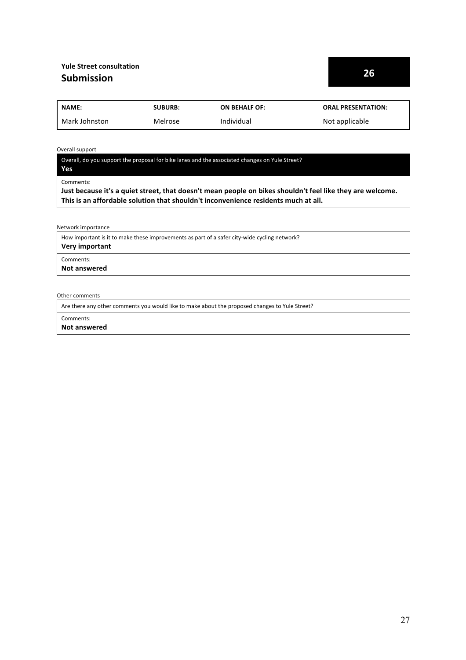| <b>NAME:</b>  | <b>SUBURB:</b> | <b>ON BEHALF OF:</b> | <b>ORAL PRESENTATION:</b> |
|---------------|----------------|----------------------|---------------------------|
| Mark Johnston | Melrose        | Individual           | Not applicable            |

Overall support

Overall, do you support the proposal for bike lanes and the associated changes on Yule Street?

**Yes** Comments:

Just because it's a quiet street, that doesn't mean people on bikes shouldn't feel like they are welcome. This is an affordable solution that shouldn't inconvenience residents much at all.

Network importance

How important is it to make these improvements as part of a safer city-wide cycling network?

**Very important**

Comments:

**Not answered**

Other comments

Are there any other comments you would like to make about the proposed changes to Yule Street?

Comments: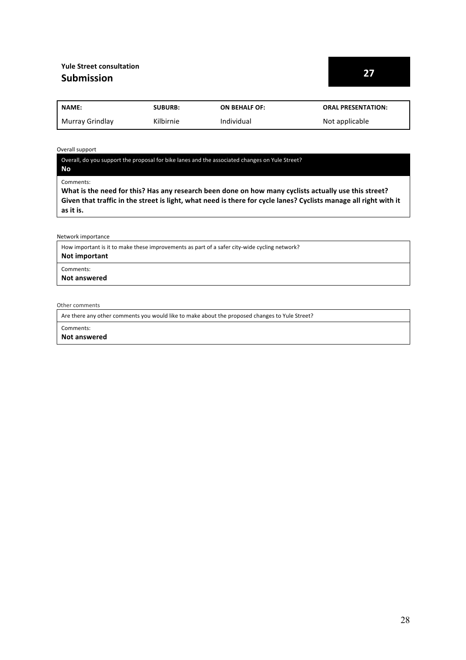## **Yule Street consultation Submission 27**<br>**Submission**

| <b>NAME:</b>    | <b>SUBURB:</b> | <b>ON BEHALF OF:</b> | <b>ORAL PRESENTATION:</b> |
|-----------------|----------------|----------------------|---------------------------|
| Murray Grindlay | Kilbirnie      | Individual           | Not applicable            |

Overall support

Overall, do you support the proposal for bike lanes and the associated changes on Yule Street? **No**

Comments:

What is the need for this? Has any research been done on how many cyclists actually use this street? Given that traffic in the street is light, what need is there for cycle lanes? Cyclists manage all right with it **as it is.**

Network importance

How important is it to make these improvements as part of a safer city-wide cycling network?

**Not important** 

Comments: **Not answered**

Other comments

Are there any other comments you would like to make about the proposed changes to Yule Street?

Comments: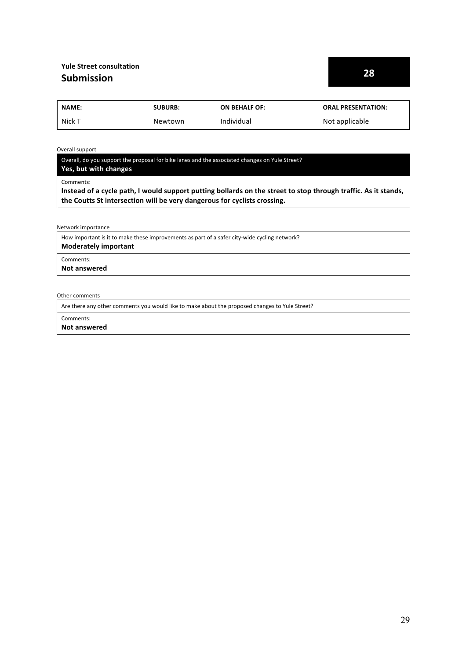## **Yule Street consultation Submission 28**<br>**Submission 28**

| <b>NAME:</b> | <b>SUBURB:</b> | <b>ON BEHALF OF:</b> | <b>ORAL PRESENTATION:</b> |
|--------------|----------------|----------------------|---------------------------|
| Nick T       | Newtown        | Individual           | Not applicable            |

Overall support

Overall, do you support the proposal for bike lanes and the associated changes on Yule Street?

# **Yes, but with changes**

Comments:

Instead of a cycle path, I would support putting bollards on the street to stop through traffic. As it stands, the Coutts St intersection will be very dangerous for cyclists crossing.

Network importance

How important is it to make these improvements as part of a safer city-wide cycling network?

**Moderately important** 

Comments:

**Not answered**

Other comments

Are there any other comments you would like to make about the proposed changes to Yule Street?

Comments: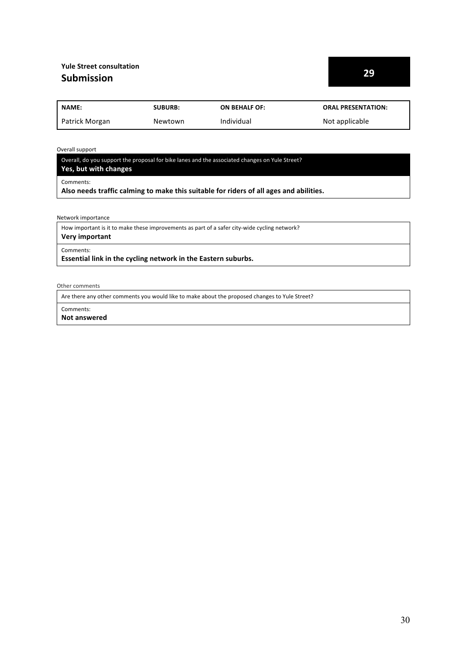# **Yule Street consultation Submission 29**<br>**Submission**

| <b>NAME:</b>   | <b>SUBURB:</b> | <b>ON BEHALF OF:</b> | <b>ORAL PRESENTATION:</b> |
|----------------|----------------|----------------------|---------------------------|
| Patrick Morgan | Newtown        | Individual           | Not applicable            |

Overall support

Overall, do you support the proposal for bike lanes and the associated changes on Yule Street?

## **Yes, but with changes**

Comments:

Also needs traffic calming to make this suitable for riders of all ages and abilities.

Network importance

How important is it to make these improvements as part of a safer city-wide cycling network?

**Very important**

Comments:

**Essential link in the cycling network in the Eastern suburbs.** 

Other comments

Are there any other comments you would like to make about the proposed changes to Yule Street?

Comments: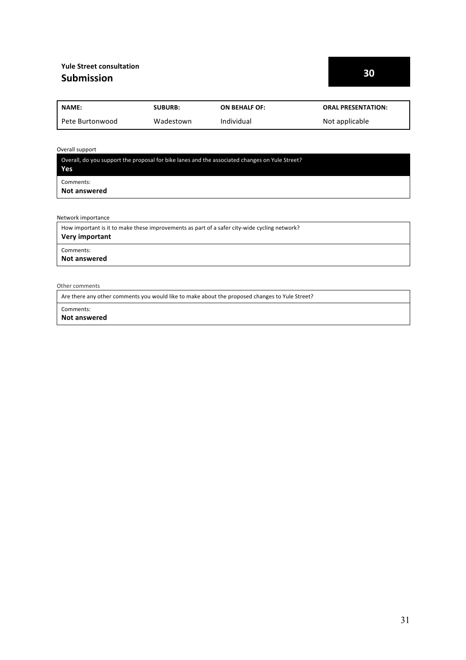## **Yule Street consultation Submission 30**<br>**Submission 30**

| <b>NAME:</b>    | <b>SUBURB:</b> | ON BEHALF OF: | <b>ORAL PRESENTATION:</b> |
|-----------------|----------------|---------------|---------------------------|
| Pete Burtonwood | Wadestown      | Individual    | Not applicable            |

Overall support

Overall, do you support the proposal for bike lanes and the associated changes on Yule Street? **Yes** Comments: **Not answered** 

Network importance

How important is it to make these improvements as part of a safer city-wide cycling network?

**Very important**

Comments:

**Not answered** 

Other comments

Are there any other comments you would like to make about the proposed changes to Yule Street?

Comments: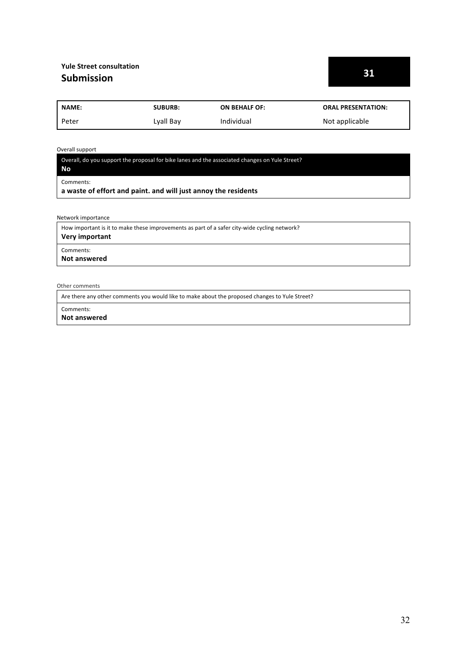# **Yule Street consultation Submission 31**<br>**Submission 31**

| <b>NAME:</b> | <b>SUBURB:</b> | ON BEHALF OF: | <b>ORAL PRESENTATION:</b> |
|--------------|----------------|---------------|---------------------------|
| Peter        | Lyall Bay      | Individual    | Not applicable            |

Overall support

Overall, do you support the proposal for bike lanes and the associated changes on Yule Street?

**No**

Comments:

a waste of effort and paint. and will just annoy the residents

Network importance

How important is it to make these improvements as part of a safer city-wide cycling network?

**Very important**

Comments:

**Not answered** 

Other comments

Are there any other comments you would like to make about the proposed changes to Yule Street?

Comments: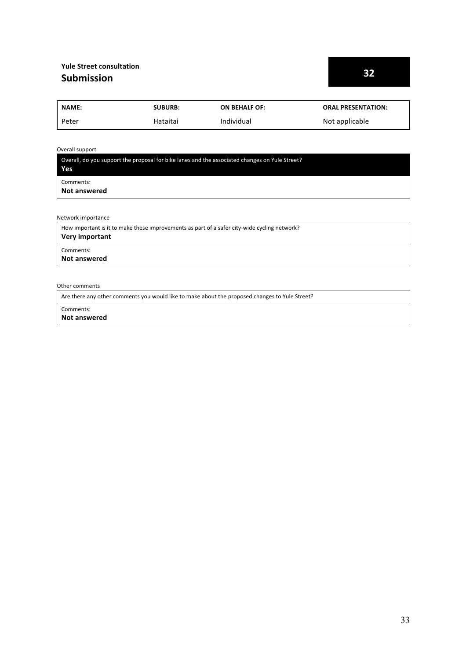# **Yule Street consultation Submission 32**<br>**Submission 32**

| <b>NAME:</b> | <b>SUBURB:</b> | <b>ON BEHALF OF:</b> | <b>ORAL PRESENTATION:</b> |
|--------------|----------------|----------------------|---------------------------|
| l Peter      | Hataitai       | Individual           | Not applicable            |

Overall support

| Overall, do you support the proposal for bike lanes and the associated changes on Yule Street?<br>Yes |
|-------------------------------------------------------------------------------------------------------|
| Comments:<br>Not answered                                                                             |

Network importance

How important is it to make these improvements as part of a safer city-wide cycling network?

**Very important**

Comments:

**Not answered** 

Other comments

Are there any other comments you would like to make about the proposed changes to Yule Street?

Comments: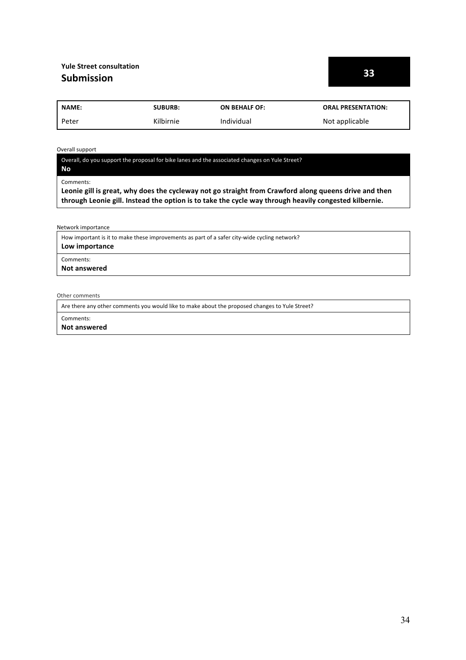## **Yule Street consultation Submission 33**<br>**Submission 33**

| <b>NAME:</b> | <b>SUBURB:</b> | ON BEHALF OF: | <b>ORAL PRESENTATION:</b> |
|--------------|----------------|---------------|---------------------------|
| Peter        | Kilbirnie      | Individual    | Not applicable            |

Overall support

Overall, do you support the proposal for bike lanes and the associated changes on Yule Street?

Comments:

**No**

Leonie gill is great, why does the cycleway not go straight from Crawford along queens drive and then through Leonie gill. Instead the option is to take the cycle way through heavily congested kilbernie.

Network importance

How important is it to make these improvements as part of a safer city-wide cycling network?

**Low importance**

Comments:

**Not answered**

Other comments

Are there any other comments you would like to make about the proposed changes to Yule Street?

Comments: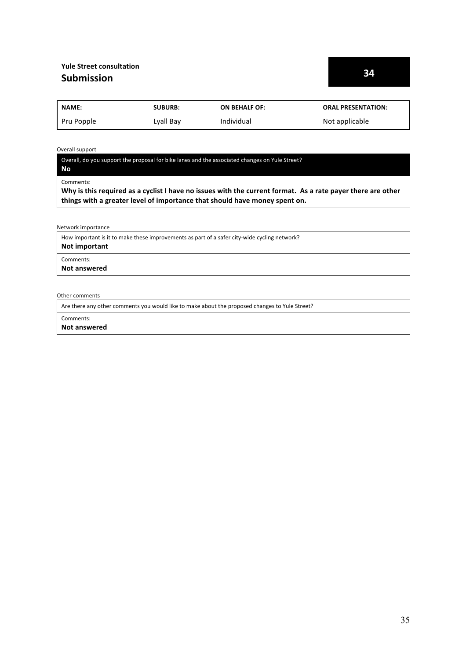## **Yule Street consultation Submission 34**<br>**Submission 34**

| <b>NAME:</b> | <b>SUBURB:</b> | <b>ON BEHALF OF:</b> | <b>ORAL PRESENTATION:</b> |
|--------------|----------------|----------------------|---------------------------|
| Pru Popple   | Lyall Bay      | Individual           | Not applicable            |

Overall support

Overall, do you support the proposal for bike lanes and the associated changes on Yule Street?

Comments:

**No**

Why is this required as a cyclist I have no issues with the current format. As a rate payer there are other things with a greater level of importance that should have money spent on.

Network importance

How important is it to make these improvements as part of a safer city-wide cycling network?

**Not important** 

Comments:

**Not answered**

Other comments

Are there any other comments you would like to make about the proposed changes to Yule Street?

Comments: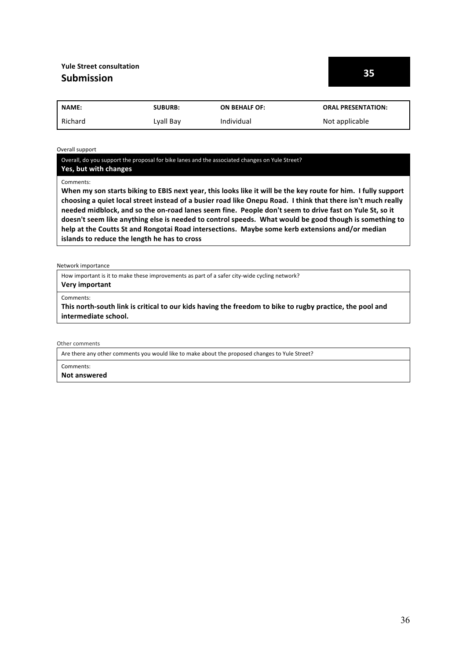| <b>NAME:</b> | <b>SUBURB:</b> | <b>ON BEHALF OF:</b> | <b>ORAL PRESENTATION:</b> |
|--------------|----------------|----------------------|---------------------------|
| Richard      | Lvall Bav      | Individual           | Not applicable            |

#### Overall support

### Overall, do you support the proposal for bike lanes and the associated changes on Yule Street? Yes, but with changes

#### Comments:

When my son starts biking to EBIS next year, this looks like it will be the key route for him. I fully support choosing a quiet local street instead of a busier road like Onepu Road. I think that there isn't much really needed midblock, and so the on-road lanes seem fine. People don't seem to drive fast on Yule St, so it doesn't seem like anything else is needed to control speeds. What would be good though is something to help at the Coutts St and Rongotai Road intersections. Maybe some kerb extensions and/or median **islands to reduce the length he has to cross** 

#### Network importance

How important is it to make these improvements as part of a safer city-wide cycling network? **Very important**

### Comments:

This north-south link is critical to our kids having the freedom to bike to rugby practice, the pool and **intermediate school.**

#### Other comments

Are there any other comments you would like to make about the proposed changes to Yule Street?

Comments: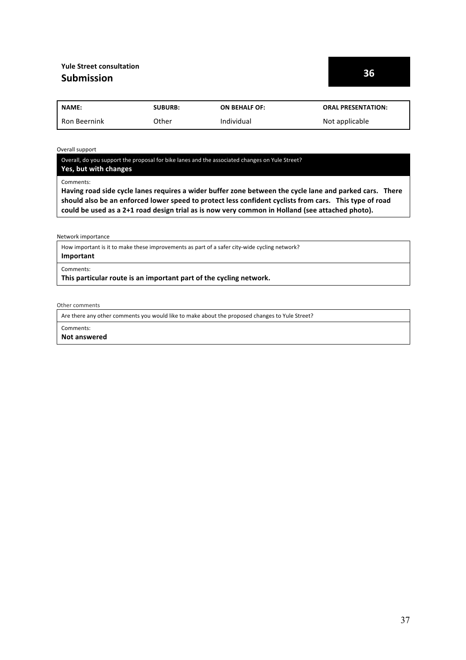| <b>NAME:</b> | <b>SUBURB:</b> | ON BEHALF OF: | <b>ORAL PRESENTATION:</b> |
|--------------|----------------|---------------|---------------------------|
| Ron Beernink | Other          | Individual    | Not applicable            |

Overall support

Overall, do you support the proposal for bike lanes and the associated changes on Yule Street? Yes, but with changes

Comments:

Having road side cycle lanes requires a wider buffer zone between the cycle lane and parked cars. There should also be an enforced lower speed to protect less confident cyclists from cars. This type of road could be used as a 2+1 road design trial as is now very common in Holland (see attached photo).

#### Network importance

How important is it to make these improvements as part of a safer city-wide cycling network?

**Important**

Comments:

This particular route is an important part of the cycling network.

Other comments

Are there any other comments you would like to make about the proposed changes to Yule Street?

Comments: **Not answered** 

37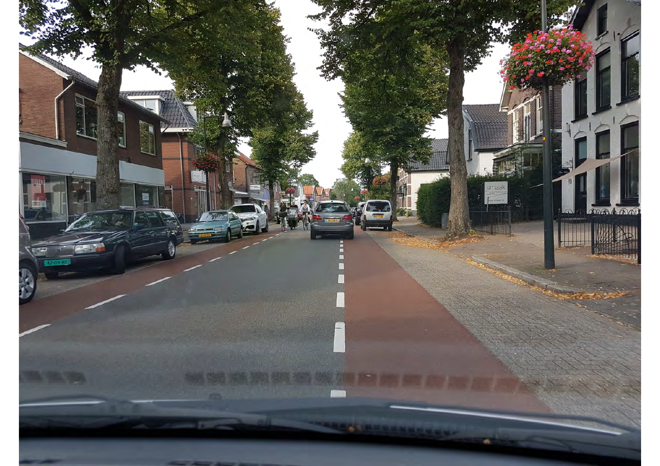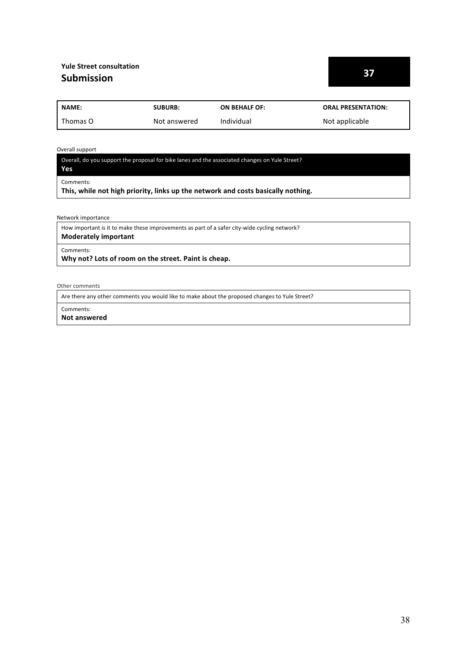# **Yule Street consultation Submission 37**<br>**Submission 37**

| <b>NAME:</b> | <b>SUBURB:</b> | <b>ON BEHALF OF:</b> | <b>ORAL PRESENTATION:</b> |
|--------------|----------------|----------------------|---------------------------|
| Thomas O     | Not answered   | Individual           | Not applicable            |

Overall support

Overall, do you support the proposal for bike lanes and the associated changes on Yule Street?

**Yes**

Comments:

This, while not high priority, links up the network and costs basically nothing.

Network importance

How important is it to make these improvements as part of a safer city-wide cycling network?

**Moderately important** 

Comments:

Why not? Lots of room on the street. Paint is cheap.

Other comments

Are there any other comments you would like to make about the proposed changes to Yule Street?

Comments: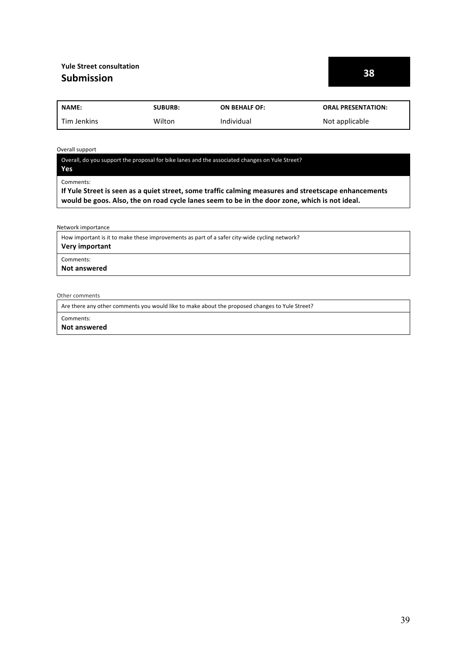| <b>NAME:</b> | <b>SUBURB:</b> | <b>ON BEHALF OF:</b> | <b>ORAL PRESENTATION:</b> |
|--------------|----------------|----------------------|---------------------------|
| Tim Jenkins  | Wilton         | Individual           | Not applicable            |

Overall support

Overall, do you support the proposal for bike lanes and the associated changes on Yule Street?

Comments:

**Yes**

If Yule Street is seen as a quiet street, some traffic calming measures and streetscape enhancements would be goos. Also, the on road cycle lanes seem to be in the door zone, which is not ideal.

Network importance

How important is it to make these improvements as part of a safer city-wide cycling network?

**Very important**

Comments:

**Not answered** 

Other comments

Are there any other comments you would like to make about the proposed changes to Yule Street?

Comments: